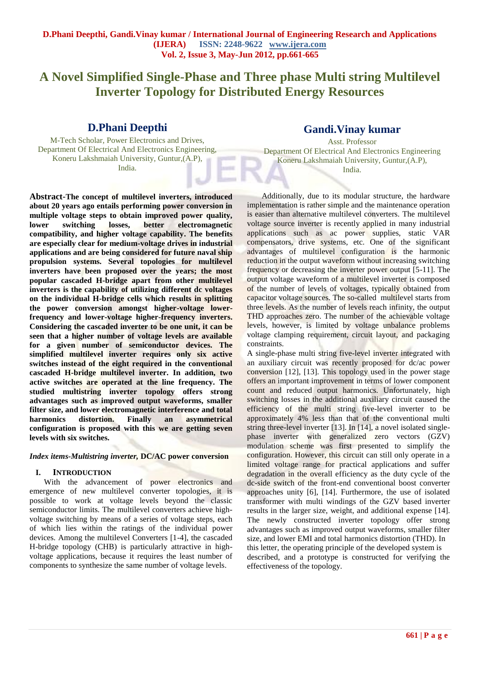# **A Novel Simplified Single-Phase and Three phase Multi string Multilevel Inverter Topology for Distributed Energy Resources**

## **D.Phani Deepthi**

M-Tech Scholar, Power Electronics and Drives, Department Of Electrical And Electronics Engineering, Koneru Lakshmaiah University, Guntur,(A.P), India.

**Abstract-The concept of multilevel inverters, introduced about 20 years ago entails performing power conversion in multiple voltage steps to obtain improved power quality, lower switching losses, better electromagnetic compatibility, and higher voltage capability. The benefits are especially clear for medium-voltage drives in industrial applications and are being considered for future naval ship propulsion systems. Several topologies for multilevel inverters have been proposed over the years; the most popular cascaded H-bridge apart from other multilevel inverters is the capability of utilizing different dc voltages on the individual H-bridge cells which results in splitting the power conversion amongst higher-voltage lowerfrequency and lower-voltage higher-frequency inverters. Considering the cascaded inverter to be one unit, it can be seen that a higher number of voltage levels are available for a given number of semiconductor devices. The simplified multilevel inverter requires only six active switches instead of the eight required in the conventional cascaded H-bridge multilevel inverter. In addition, two active switches are operated at the line frequency. The studied multistring inverter topology offers strong advantages such as improved output waveforms, smaller filter size, and lower electromagnetic interference and total harmonics distortion. Finally an asymmetrical configuration is proposed with this we are getting seven levels with six switches.** 

### *Index items-Multistring inverter,* **DC/AC power conversion**

## **I. INTRODUCTION**

With the advancement of power electronics and emergence of new multilevel converter topologies, it is possible to work at voltage levels beyond the classic semiconductor limits. The multilevel converters achieve highvoltage switching by means of a series of voltage steps, each of which lies within the ratings of the individual power devices. Among the multilevel Converters [1-4], the cascaded H-bridge topology (CHB) is particularly attractive in highvoltage applications, because it requires the least number of components to synthesize the same number of voltage levels.

## **Gandi.Vinay kumar**

Asst. Professor Department Of Electrical And Electronics Engineering Koneru Lakshmaiah University, Guntur,(A.P), India.

Additionally, due to its modular structure, the hardware implementation is rather simple and the maintenance operation is easier than alternative multilevel converters. The multilevel voltage source inverter is recently applied in many industrial applications such as ac power supplies, static VAR compensators, drive systems, etc. One of the significant advantages of multilevel configuration is the harmonic reduction in the output waveform without increasing switching frequency or decreasing the inverter power output [5-11]. The output voltage waveform of a multilevel inverter is composed of the number of levels of voltages, typically obtained from capacitor voltage sources. The so-called multilevel starts from three levels. As the number of levels reach infinity, the output THD approaches zero. The number of the achievable voltage levels, however, is limited by voltage unbalance problems voltage clamping requirement, circuit layout, and packaging constraints.

A single-phase multi string five-level inverter integrated with an auxiliary circuit was recently proposed for dc/ac power conversion [12], [13]. This topology used in the power stage offers an important improvement in terms of lower component count and reduced output harmonics. Unfortunately, high switching losses in the additional auxiliary circuit caused the efficiency of the multi string five-level inverter to be approximately 4% less than that of the conventional multi string three-level inverter [13]. In [14], a novel isolated singlephase inverter with generalized zero vectors (GZV) modulation scheme was first presented to simplify the configuration. However, this circuit can still only operate in a limited voltage range for practical applications and suffer degradation in the overall efficiency as the duty cycle of the dc-side switch of the front-end conventional boost converter approaches unity [6], [14]. Furthermore, the use of isolated transformer with multi windings of the GZV based inverter results in the larger size, weight, and additional expense [14]. The newly constructed inverter topology offer strong advantages such as improved output waveforms, smaller filter size, and lower EMI and total harmonics distortion (THD). In this letter, the operating principle of the developed system is described, and a prototype is constructed for verifying the effectiveness of the topology.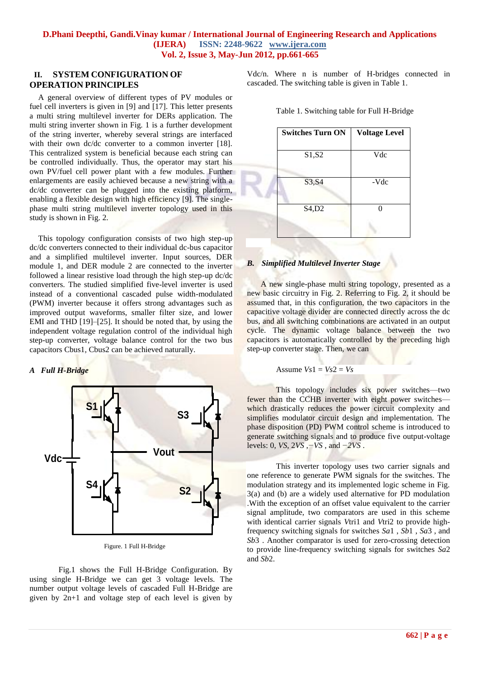## **II. SYSTEM CONFIGURATION OF OPERATION PRINCIPLES**

A general overview of different types of PV modules or fuel cell inverters is given in [9] and [17]. This letter presents a multi string multilevel inverter for DERs application. The multi string inverter shown in Fig. 1 is a further development of the string inverter, whereby several strings are interfaced with their own dc/dc converter to a common inverter [18]. This centralized system is beneficial because each string can be controlled individually. Thus, the operator may start his own PV/fuel cell power plant with a few modules. Further enlargements are easily achieved because a new string with a dc/dc converter can be plugged into the existing platform, enabling a flexible design with high efficiency [9]. The singlephase multi string multilevel inverter topology used in this study is shown in Fig. 2.

This topology configuration consists of two high step-up dc/dc converters connected to their individual dc-bus capacitor and a simplified multilevel inverter. Input sources, DER module 1, and DER module 2 are connected to the inverter followed a linear resistive load through the high step-up dc/dc converters. The studied simplified five-level inverter is used instead of a conventional cascaded pulse width-modulated (PWM) inverter because it offers strong advantages such as improved output waveforms, smaller filter size, and lower EMI and THD [19]–[25]. It should be noted that, by using the independent voltage regulation control of the individual high step-up converter, voltage balance control for the two bus capacitors Cbus1, Cbus2 can be achieved naturally.

## *A Full H-Bridge*



Figure. 1 Full H-Bridge

Fig.1 shows the Full H-Bridge Configuration. By using single H-Bridge we can get 3 voltage levels. The number output voltage levels of cascaded Full H-Bridge are given by 2n+1 and voltage step of each level is given by Vdc/n. Where n is number of H-bridges connected in cascaded. The switching table is given in Table 1.

| <b>Switches Turn ON</b> | <b>Voltage Level</b> |
|-------------------------|----------------------|
| S1,S2                   | Vdc                  |
| S3, S4                  | -Vdc                 |
| S4,D2                   | ∩                    |
|                         |                      |

Table 1. Switching table for Full H-Bridge

### *B. Simplified Multilevel Inverter Stage*

A new single-phase multi string topology, presented as a new basic circuitry in Fig. 2. Referring to Fig. 2, it should be assumed that, in this configuration, the two capacitors in the capacitive voltage divider are connected directly across the dc bus, and all switching combinations are activated in an output cycle. The dynamic voltage balance between the two capacitors is automatically controlled by the preceding high step-up converter stage. Then, we can

#### Assume  $Vs1 = Vs2 = Vs$

This topology includes six power switches—two fewer than the CCHB inverter with eight power switches which drastically reduces the power circuit complexity and simplifies modulator circuit design and implementation. The phase disposition (PD) PWM control scheme is introduced to generate switching signals and to produce five output-voltage levels: 0, *VS*, 2*VS* ,*−VS* , and *−2VS* .

This inverter topology uses two carrier signals and one reference to generate PWM signals for the switches. The modulation strategy and its implemented logic scheme in Fig. 3(a) and (b) are a widely used alternative for PD modulation .With the exception of an offset value equivalent to the carrier signal amplitude, two comparators are used in this scheme with identical carrier signals *Vtri1* and *Vtri2* to provide highfrequency switching signals for switches *Sa*1 , *Sb*1 , *Sa*3 , and *Sb*3 . Another comparator is used for zero-crossing detection to provide line-frequency switching signals for switches *Sa*2 and *Sb*2.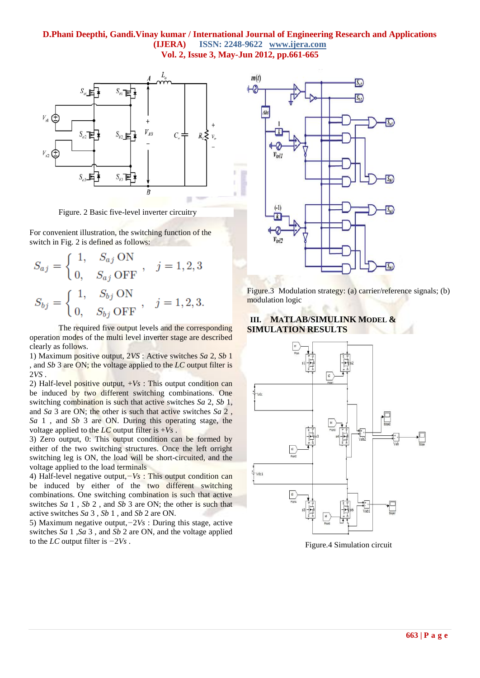## **D.Phani Deepthi, Gandi.Vinay kumar / International Journal of Engineering Research and Applications (IJERA) ISSN: 2248-9622 www.ijera.com Vol. 2, Issue 3, May-Jun 2012, pp.661-665**



Figure. 2 Basic five-level inverter circuitry

For convenient illustration, the switching function of the switch in Fig. 2 is defined as follows:

$$
S_{aj} = \begin{cases} 1, & S_{aj} \text{ ON} \\ 0, & S_{aj} \text{ OFF} \end{cases}, \quad j = 1, 2, 3
$$
\n
$$
S_{bj} = \begin{cases} 1, & S_{bj} \text{ ON} \\ 0, & S_{bj} \text{ OFF} \end{cases}, \quad j = 1, 2, 3.
$$

The required five output levels and the corresponding operation modes of the multi level inverter stage are described clearly as follows.

1) Maximum positive output, 2*VS* : Active switches *Sa* 2, *Sb* 1 , and *Sb* 3 are ON; the voltage applied to the *LC* output filter is 2*VS* .

2) Half-level positive output,  $+V_s$ : This output condition can be induced by two different switching combinations. One switching combination is such that active switches *Sa* 2, *Sb* 1, and *Sa* 3 are ON; the other is such that active switches *Sa* 2 , *Sa* 1 , and *Sb* 3 are ON. During this operating stage, the voltage applied to the  $LC$  output filter is  $+Vs$ .

3) Zero output, 0: This output condition can be formed by either of the two switching structures. Once the left orright switching leg is ON, the load will be short-circuited, and the voltage applied to the load terminals

4) Half-level negative output,*−Vs* : This output condition can be induced by either of the two different switching combinations. One switching combination is such that active switches *Sa* 1 , *Sb* 2 , and *Sb* 3 are ON; the other is such that active switches *Sa* 3 , *Sb* 1 , and *Sb* 2 are ON.

5) Maximum negative output,*−*2*Vs* : During this stage, active switches *Sa* 1 ,*Sa* 3 , and *Sb* 2 are ON, and the voltage applied to the *LC* output filter is *−*2*Vs* .



Figure.3 Modulation strategy: (a) carrier/reference signals; (b) modulation logic

## **III. MATLAB/SIMULINK MODEL & SIMULATION RESULTS**



Figure.4 Simulation circuit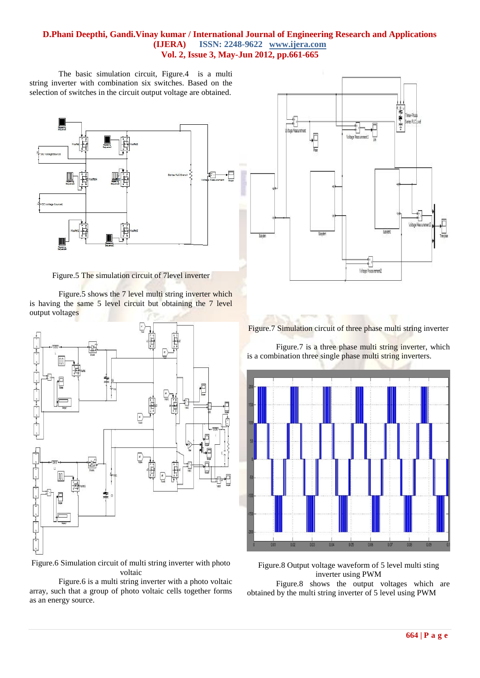## **D.Phani Deepthi, Gandi.Vinay kumar / International Journal of Engineering Research and Applications (IJERA) ISSN: 2248-9622 www.ijera.com Vol. 2, Issue 3, May-Jun 2012, pp.661-665**

The basic simulation circuit, Figure.4 is a multi string inverter with combination six switches. Based on the selection of switches in the circuit output voltage are obtained.



Figure.5 The simulation circuit of 7level inverter

Figure.5 shows the 7 level multi string inverter which is having the same 5 level circuit but obtaining the 7 level output voltages



Figure.6 Simulation circuit of multi string inverter with photo voltaic

Figure.6 is a multi string inverter with a photo voltaic array, such that a group of photo voltaic cells together forms as an energy source.



Figure.7 Simulation circuit of three phase multi string inverter

Figure.7 is a three phase multi string inverter, which is a combination three single phase multi string inverters.



Figure.8 Output voltage waveform of 5 level multi sting inverter using PWM

Figure.8 shows the output voltages which are obtained by the multi string inverter of 5 level using PWM